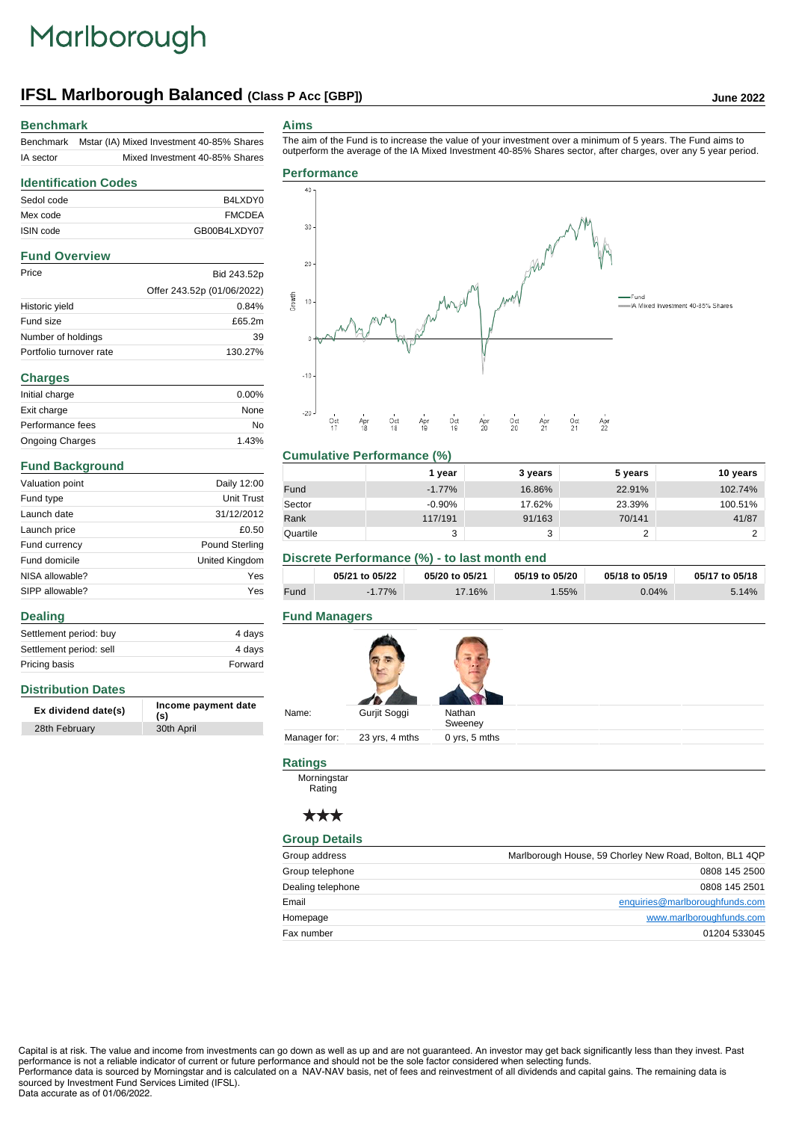# Marlborough

# **IFSL Marlborough Balanced (Class P Acc [GBP]) June 2022**

### **Benchmark**

| Benchmark | Mstar (IA) Mixed Investment 40-85% Shares |
|-----------|-------------------------------------------|
| IA sector | Mixed Investment 40-85% Shares            |

#### **Aims**

The aim of the Fund is to increase the value of your investment over a minimum of 5 years. The Fund aims to outperform the average of the IA Mixed Investment 40-85% Shares sector, after charges, over any 5 year period.

### **Identification Codes** Sedol code B4LXDY0 Mex code FMCDEA ISIN code GB00B4LXDY07

### **Fund Overview**

| Price                   | Bid 243.52p                |
|-------------------------|----------------------------|
|                         | Offer 243.52p (01/06/2022) |
| Historic yield          | 0.84%                      |
| Fund size               | £65.2m                     |
| Number of holdings      | 39                         |
| Portfolio turnover rate | 130.27%                    |

| <b>Charges</b>         |          |
|------------------------|----------|
| Initial charge         | $0.00\%$ |
| Exit charge            | None     |
| Performance fees       | No       |
| <b>Ongoing Charges</b> | 1.43%    |

#### **Fund Background**

**Distribution Dates**

28th February

**Dealing**

| Valuation point | Daily 12:00           |
|-----------------|-----------------------|
| Fund type       | Unit Trust            |
| Launch date     | 31/12/2012            |
| Launch price    | £0.50                 |
| Fund currency   | <b>Pound Sterling</b> |
| Fund domicile   | United Kingdom        |
| NISA allowable? | Yes                   |
| SIPP allowable? | Yes                   |

Settlement period: buy 4 days Settlement period: sell 4 days Pricing basis **Forward** 

**Ex dividend date(s) Income payment date**

**(s)**

# **Performance**  $\overline{a}$ 30



#### **Cumulative Performance (%)**

|          | 1 vear    | 3 years | 5 years | 10 years |
|----------|-----------|---------|---------|----------|
| Fund     | $-1.77\%$ | 16.86%  | 22.91%  | 102.74%  |
| Sector   | $-0.90%$  | 17.62%  | 23.39%  | 100.51%  |
| Rank     | 117/191   | 91/163  | 70/141  | 41/87    |
| Quartile | 3         | 3       | -       |          |

# **Discrete Performance (%) - to last month end**

|      | 05/21 to 05/22 | 05/20 to 05/21 | 05/19 to 05/20 | 05/18 to 05/19 | 05/17 to 05/18 |
|------|----------------|----------------|----------------|----------------|----------------|
| Fund | $-1.77\%$      | $17.16\%$      | $1.55\%$       | 0.04%          | 5.14%          |

### **Fund Managers**

| Gurjit Soggi<br>Nathan<br>Sweeney |
|-----------------------------------|
|                                   |

# **Ratings**

**Morningstar** Rating

# \*\*\*

#### **Group Details**

| Group address     | Marlborough House, 59 Chorley New Road, Bolton, BL1 4QP |
|-------------------|---------------------------------------------------------|
| Group telephone   | 0808 145 2500                                           |
| Dealing telephone | 0808 145 2501                                           |
| Email             | enquiries@marlboroughfunds.com                          |
| Homepage          | www.marlboroughfunds.com                                |
| Fax number        | 01204 533045                                            |

Capital is at risk. The value and income from investments can go down as well as up and are not guaranteed. An investor may get back significantly less than they invest. Past performance is not a reliable indicator of current or future performance and should not be the sole factor considered when selecting funds. Performance data is sourced by Morningstar and is calculated on a NAV-NAV basis, net of fees and reinvestment of all dividends and capital gains. The remaining data is sourced by Investment Fund Services Limited (IFSL).

#### Data accurate as of 01/06/2022.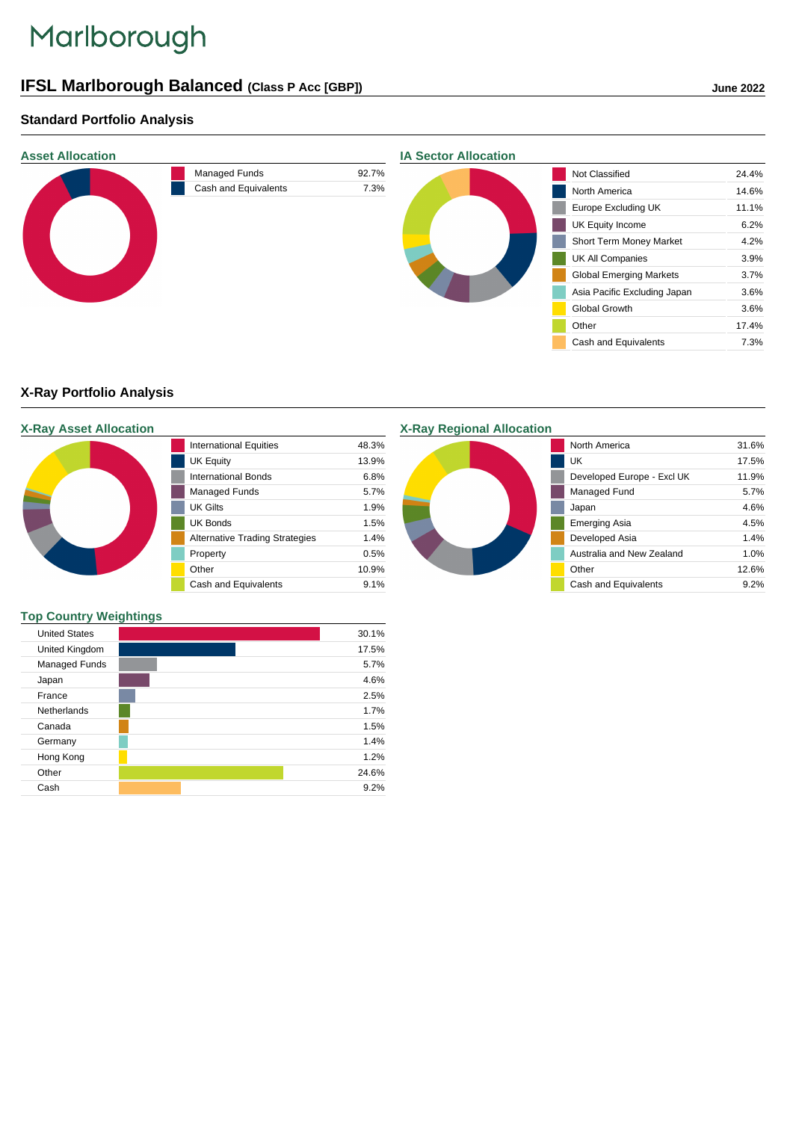# Marlborough

# **IFSL Marlborough Balanced (Class P Acc [GBP]) June 2022**

# **Standard Portfolio Analysis**



# **X-Ray Portfolio Analysis**

|  |  |  | <b>X-Ray Asset Allocation</b> |  |
|--|--|--|-------------------------------|--|
|--|--|--|-------------------------------|--|

| <b>International Equities</b>         | 48.3% |
|---------------------------------------|-------|
| <b>UK Equity</b>                      | 13.9% |
| International Bonds                   | 6.8%  |
| Managed Funds                         | 5.7%  |
| UK Gilts                              | 1.9%  |
| <b>UK Bonds</b>                       | 1.5%  |
| <b>Alternative Trading Strategies</b> | 1.4%  |
| Property                              | 0.5%  |
| Other                                 | 10.9% |
| Cash and Equivalents                  | 9.1%  |

**X-Ray Regional Allocation**



#### **Top Country Weightings**

| <b>United States</b> |  | 30.1% |
|----------------------|--|-------|
| United Kingdom       |  | 17.5% |
| Managed Funds        |  | 5.7%  |
| Japan                |  | 4.6%  |
| France               |  | 2.5%  |
| <b>Netherlands</b>   |  | 1.7%  |
| Canada               |  | 1.5%  |
| Germany              |  | 1.4%  |
| Hong Kong            |  | 1.2%  |
| Other                |  | 24.6% |
| Cash                 |  | 9.2%  |
|                      |  |       |

 $\overline{\phantom{a}}$